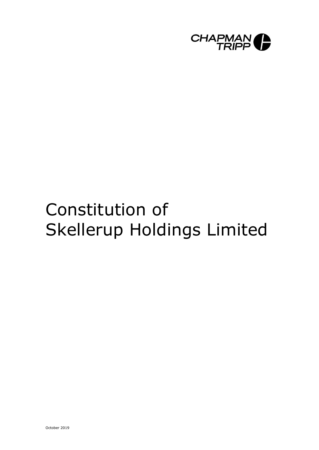

# Constitution of Skellerup Holdings Limited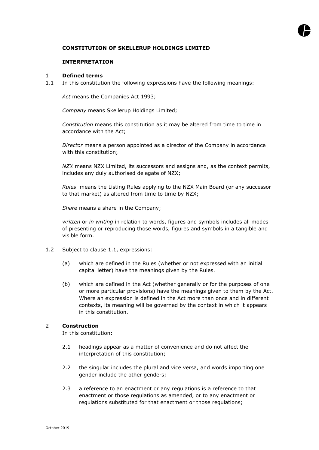# **CONSTITUTION OF SKELLERUP HOLDINGS LIMITED**

## **INTERPRETATION**

#### 1 **Defined terms**

1.1 In this constitution the following expressions have the following meanings:

*Act* means the Companies Act 1993;

*Company* means Skellerup Holdings Limited;

*Constitution* means this constitution as it may be altered from time to time in accordance with the Act;

*Director* means a person appointed as a director of the Company in accordance with this constitution;

*NZX* means NZX Limited, its successors and assigns and, as the context permits, includes any duly authorised delegate of NZX;

*Rules* means the Listing Rules applying to the NZX Main Board (or any successor to that market) as altered from time to time by NZX;

*Share* means a share in the Company;

*written* or *in writing* in relation to words, figures and symbols includes all modes of presenting or reproducing those words, figures and symbols in a tangible and visible form.

- 1.2 Subject to clause 1.1, expressions:
	- (a) which are defined in the Rules (whether or not expressed with an initial capital letter) have the meanings given by the Rules.
	- (b) which are defined in the Act (whether generally or for the purposes of one or more particular provisions) have the meanings given to them by the Act. Where an expression is defined in the Act more than once and in different contexts, its meaning will be governed by the context in which it appears in this constitution.

# 2 **Construction**

In this constitution:

- 2.1 headings appear as a matter of convenience and do not affect the interpretation of this constitution;
- 2.2 the singular includes the plural and vice versa, and words importing one gender include the other genders;
- 2.3 a reference to an enactment or any regulations is a reference to that enactment or those regulations as amended, or to any enactment or regulations substituted for that enactment or those regulations;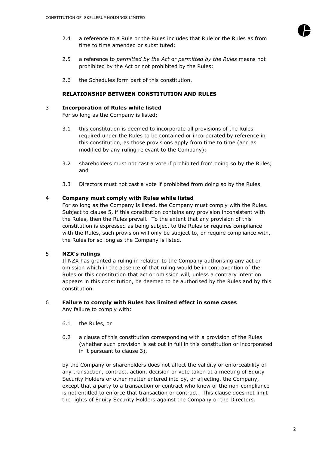

- 2.4 a reference to a Rule or the Rules includes that Rule or the Rules as from time to time amended or substituted;
- 2.5 a reference to *permitted by the Act* or *permitted by the Rules* means not prohibited by the Act or not prohibited by the Rules;
- 2.6 the Schedules form part of this constitution.

# **RELATIONSHIP BETWEEN CONSTITUTION AND RULES**

#### <span id="page-2-0"></span>3 **Incorporation of Rules while listed**

For so long as the Company is listed:

- 3.1 this constitution is deemed to incorporate all provisions of the Rules required under the Rules to be contained or incorporated by reference in this constitution, as those provisions apply from time to time (and as modified by any ruling relevant to the Company);
- 3.2 shareholders must not cast a vote if prohibited from doing so by the Rules; and
- 3.3 Directors must not cast a vote if prohibited from doing so by the Rules.

#### 4 **Company must comply with Rules while listed**

For so long as the Company is listed, the Company must comply with the Rules. Subject to clause 5, if this constitution contains any provision inconsistent with the Rules, then the Rules prevail. To the extent that any provision of this constitution is expressed as being subject to the Rules or requires compliance with the Rules, such provision will only be subject to, or require compliance with, the Rules for so long as the Company is listed.

# 5 **NZX's rulings**

If NZX has granted a ruling in relation to the Company authorising any act or omission which in the absence of that ruling would be in contravention of the Rules or this constitution that act or omission will, unless a contrary intention appears in this constitution, be deemed to be authorised by the Rules and by this constitution.

# 6 **Failure to comply with Rules has limited effect in some cases**

Any failure to comply with:

- 6.1 the Rules, or
- 6.2 a clause of this constitution corresponding with a provision of the Rules (whether such provision is set out in full in this constitution or incorporated in it pursuant to clause [3\)](#page-2-0),

by the Company or shareholders does not affect the validity or enforceability of any transaction, contract, action, decision or vote taken at a meeting of Equity Security Holders or other matter entered into by, or affecting, the Company, except that a party to a transaction or contract who knew of the non-compliance is not entitled to enforce that transaction or contract. This clause does not limit the rights of Equity Security Holders against the Company or the Directors.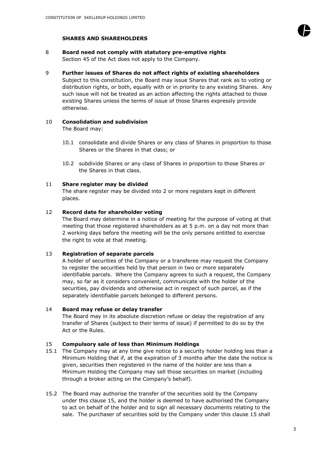

# **SHARES AND SHAREHOLDERS**

- 8 **Board need not comply with statutory pre-emptive rights** Section 45 of the Act does not apply to the Company.
- 9 **Further issues of Shares do not affect rights of existing shareholders**

Subject to this constitution, the Board may issue Shares that rank as to voting or distribution rights, or both, equally with or in priority to any existing Shares. Any such issue will not be treated as an action affecting the rights attached to those existing Shares unless the terms of issue of those Shares expressly provide otherwise.

# 10 **Consolidation and subdivision**

The Board may:

- 10.1 consolidate and divide Shares or any class of Shares in proportion to those Shares or the Shares in that class; or
- 10.2 subdivide Shares or any class of Shares in proportion to those Shares or the Shares in that class.

# 11 **Share register may be divided**

The share register may be divided into 2 or more registers kept in different places.

# 12 **Record date for shareholder voting**

The Board may determine in a notice of meeting for the purpose of voting at that meeting that those registered shareholders as at 5 p.m. on a day not more than 2 working days before the meeting will be the only persons entitled to exercise the right to vote at that meeting.

# 13 **Registration of separate parcels**

A holder of securities of the Company or a transferee may request the Company to register the securities held by that person in two or more separately identifiable parcels. Where the Company agrees to such a request, the Company may, so far as it considers convenient, communicate with the holder of the securities, pay dividends and otherwise act in respect of such parcel, as if the separately identifiable parcels belonged to different persons.

# 14 **Board may refuse or delay transfer**

The Board may in its absolute discretion refuse or delay the registration of any transfer of Shares (subject to their terms of issue) if permitted to do so by the Act or the Rules.

# 15 **Compulsory sale of less than Minimum Holdings**

- 15.1 The Company may at any time give notice to a security holder holding less than a Minimum Holding that if, at the expiration of 3 months after the date the notice is given, securities then registered in the name of the holder are less than a Minimum Holding the Company may sell those securities on market (including through a broker acting on the Company's behalf).
- 15.2 The Board may authorise the transfer of the securities sold by the Company under this clause 15, and the holder is deemed to have authorised the Company to act on behalf of the holder and to sign all necessary documents relating to the sale. The purchaser of securities sold by the Company under this clause 15 shall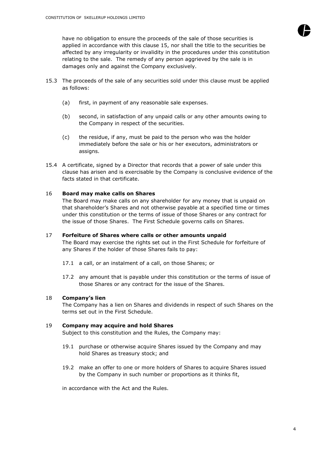have no obligation to ensure the proceeds of the sale of those securities is applied in accordance with this clause 15, nor shall the title to the securities be affected by any irregularity or invalidity in the procedures under this constitution relating to the sale. The remedy of any person aggrieved by the sale is in damages only and against the Company exclusively.

- 15.3 The proceeds of the sale of any securities sold under this clause must be applied as follows:
	- (a) first, in payment of any reasonable sale expenses.
	- (b) second, in satisfaction of any unpaid calls or any other amounts owing to the Company in respect of the securities.
	- (c) the residue, if any, must be paid to the person who was the holder immediately before the sale or his or her executors, administrators or assigns.
- 15.4 A certificate, signed by a Director that records that a power of sale under this clause has arisen and is exercisable by the Company is conclusive evidence of the facts stated in that certificate.

#### 16 **Board may make calls on Shares**

The Board may make calls on any shareholder for any money that is unpaid on that shareholder's Shares and not otherwise payable at a specified time or times under this constitution or the terms of issue of those Shares or any contract for the issue of those Shares. The First Schedule governs calls on Shares.

#### 17 **Forfeiture of Shares where calls or other amounts unpaid** The Board may exercise the rights set out in the First Schedule for forfeiture of

any Shares if the holder of those Shares fails to pay:

- 17.1 a call, or an instalment of a call, on those Shares; or
- 17.2 any amount that is payable under this constitution or the terms of issue of those Shares or any contract for the issue of the Shares.

# 18 **Company's lien**

The Company has a lien on Shares and dividends in respect of such Shares on the terms set out in the First Schedule.

#### 19 **Company may acquire and hold Shares**

Subject to this constitution and the Rules, the Company may:

- 19.1 purchase or otherwise acquire Shares issued by the Company and may hold Shares as treasury stock; and
- 19.2 make an offer to one or more holders of Shares to acquire Shares issued by the Company in such number or proportions as it thinks fit,

in accordance with the Act and the Rules.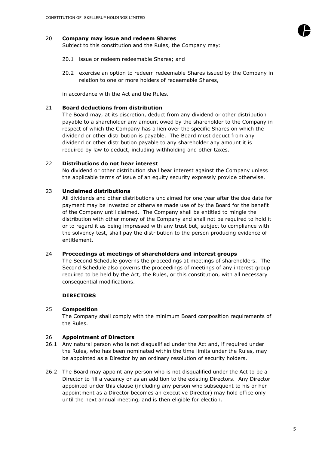# 20 **Company may issue and redeem Shares**

Subject to this constitution and the Rules, the Company may:

- 20.1 issue or redeem redeemable Shares; and
- 20.2 exercise an option to redeem redeemable Shares issued by the Company in relation to one or more holders of redeemable Shares,

in accordance with the Act and the Rules.

#### 21 **Board deductions from distribution**

The Board may, at its discretion, deduct from any dividend or other distribution payable to a shareholder any amount owed by the shareholder to the Company in respect of which the Company has a lien over the specific Shares on which the dividend or other distribution is payable. The Board must deduct from any dividend or other distribution payable to any shareholder any amount it is required by law to deduct, including withholding and other taxes.

#### 22 **Distributions do not bear interest**

No dividend or other distribution shall bear interest against the Company unless the applicable terms of issue of an equity security expressly provide otherwise.

# 23 **Unclaimed distributions**

All dividends and other distributions unclaimed for one year after the due date for payment may be invested or otherwise made use of by the Board for the benefit of the Company until claimed. The Company shall be entitled to mingle the distribution with other money of the Company and shall not be required to hold it or to regard it as being impressed with any trust but, subject to compliance with the solvency test, shall pay the distribution to the person producing evidence of entitlement.

#### 24 **Proceedings at meetings of shareholders and interest groups**

The Second Schedule governs the proceedings at meetings of shareholders. The Second Schedule also governs the proceedings of meetings of any interest group required to be held by the Act, the Rules, or this constitution, with all necessary consequential modifications.

# **DIRECTORS**

# 25 **Composition**

The Company shall comply with the minimum Board composition requirements of the Rules.

#### 26 **Appointment of Directors**

- 26.1 Any natural person who is not disqualified under the Act and, if required under the Rules, who has been nominated within the time limits under the Rules, may be appointed as a Director by an ordinary resolution of security holders.
- 26.2 The Board may appoint any person who is not disqualified under the Act to be a Director to fill a vacancy or as an addition to the existing Directors. Any Director appointed under this clause (including any person who subsequent to his or her appointment as a Director becomes an executive Director) may hold office only until the next annual meeting, and is then eligible for election.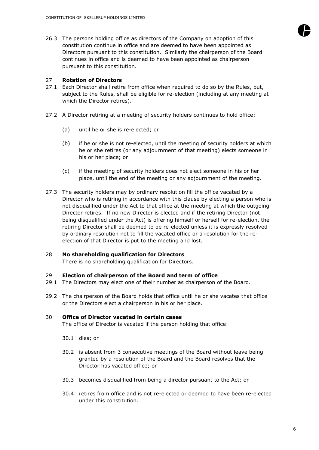26.3 The persons holding office as directors of the Company on adoption of this constitution continue in office and are deemed to have been appointed as Directors pursuant to this constitution. Similarly the chairperson of the Board continues in office and is deemed to have been appointed as chairperson pursuant to this constitution.

## 27 **Rotation of Directors**

- 27.1 Each Director shall retire from office when required to do so by the Rules, but, subject to the Rules, shall be eligible for re-election (including at any meeting at which the Director retires).
- 27.2 A Director retiring at a meeting of security holders continues to hold office:
	- (a) until he or she is re-elected; or
	- (b) if he or she is not re-elected, until the meeting of security holders at which he or she retires (or any adjournment of that meeting) elects someone in his or her place; or
	- (c) if the meeting of security holders does not elect someone in his or her place, until the end of the meeting or any adjournment of the meeting.
- 27.3 The security holders may by ordinary resolution fill the office vacated by a Director who is retiring in accordance with this clause by electing a person who is not disqualified under the Act to that office at the meeting at which the outgoing Director retires. If no new Director is elected and if the retiring Director (not being disqualified under the Act) is offering himself or herself for re-election, the retiring Director shall be deemed to be re-elected unless it is expressly resolved by ordinary resolution not to fill the vacated office or a resolution for the reelection of that Director is put to the meeting and lost.

# 28 **No shareholding qualification for Directors**

There is no shareholding qualification for Directors.

# 29 **Election of chairperson of the Board and term of office**

- 29.1 The Directors may elect one of their number as chairperson of the Board.
- 29.2 The chairperson of the Board holds that office until he or she vacates that office or the Directors elect a chairperson in his or her place.

## 30 **Office of Director vacated in certain cases**

The office of Director is vacated if the person holding that office:

- 30.1 dies; or
- 30.2 is absent from 3 consecutive meetings of the Board without leave being granted by a resolution of the Board and the Board resolves that the Director has vacated office; or
- 30.3 becomes disqualified from being a director pursuant to the Act; or
- 30.4 retires from office and is not re-elected or deemed to have been re-elected under this constitution.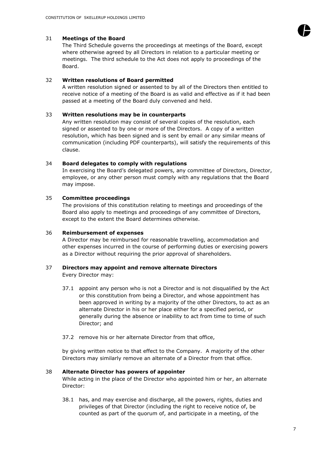# 31 **Meetings of the Board**

The Third Schedule governs the proceedings at meetings of the Board, except where otherwise agreed by all Directors in relation to a particular meeting or meetings. The third schedule to the Act does not apply to proceedings of the Board.

# 32 **Written resolutions of Board permitted**

A written resolution signed or assented to by all of the Directors then entitled to receive notice of a meeting of the Board is as valid and effective as if it had been passed at a meeting of the Board duly convened and held.

# 33 **Written resolutions may be in counterparts**

Any written resolution may consist of several copies of the resolution, each signed or assented to by one or more of the Directors. A copy of a written resolution, which has been signed and is sent by email or any similar means of communication (including PDF counterparts), will satisfy the requirements of this clause.

# 34 **Board delegates to comply with regulations**

In exercising the Board's delegated powers, any committee of Directors, Director, employee, or any other person must comply with any regulations that the Board may impose.

# 35 **Committee proceedings**

The provisions of this constitution relating to meetings and proceedings of the Board also apply to meetings and proceedings of any committee of Directors, except to the extent the Board determines otherwise.

# 36 **Reimbursement of expenses**

A Director may be reimbursed for reasonable travelling, accommodation and other expenses incurred in the course of performing duties or exercising powers as a Director without requiring the prior approval of shareholders.

# 37 **Directors may appoint and remove alternate Directors**

Every Director may:

- 37.1 appoint any person who is not a Director and is not disqualified by the Act or this constitution from being a Director, and whose appointment has been approved in writing by a majority of the other Directors, to act as an alternate Director in his or her place either for a specified period, or generally during the absence or inability to act from time to time of such Director; and
- 37.2 remove his or her alternate Director from that office,

by giving written notice to that effect to the Company. A majority of the other Directors may similarly remove an alternate of a Director from that office.

# 38 **Alternate Director has powers of appointer**

While acting in the place of the Director who appointed him or her, an alternate Director:

38.1 has, and may exercise and discharge, all the powers, rights, duties and privileges of that Director (including the right to receive notice of, be counted as part of the quorum of, and participate in a meeting, of the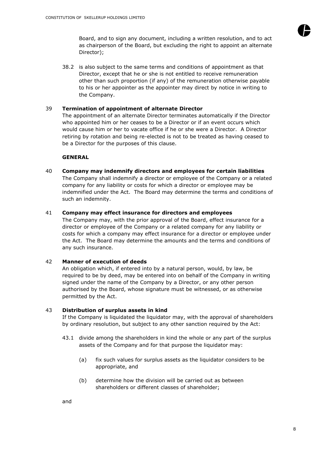

38.2 is also subject to the same terms and conditions of appointment as that Director, except that he or she is not entitled to receive remuneration other than such proportion (if any) of the remuneration otherwise payable to his or her appointer as the appointer may direct by notice in writing to the Company.

# 39 **Termination of appointment of alternate Director**

The appointment of an alternate Director terminates automatically if the Director who appointed him or her ceases to be a Director or if an event occurs which would cause him or her to vacate office if he or she were a Director. A Director retiring by rotation and being re-elected is not to be treated as having ceased to be a Director for the purposes of this clause.

# **GENERAL**

40 **Company may indemnify directors and employees for certain liabilities** The Company shall indemnify a director or employee of the Company or a related company for any liability or costs for which a director or employee may be indemnified under the Act. The Board may determine the terms and conditions of such an indemnity.

# 41 **Company may effect insurance for directors and employees**

The Company may, with the prior approval of the Board, effect insurance for a director or employee of the Company or a related company for any liability or costs for which a company may effect insurance for a director or employee under the Act. The Board may determine the amounts and the terms and conditions of any such insurance.

# 42 **Manner of execution of deeds**

An obligation which, if entered into by a natural person, would, by law, be required to be by deed, may be entered into on behalf of the Company in writing signed under the name of the Company by a Director, or any other person authorised by the Board, whose signature must be witnessed, or as otherwise permitted by the Act.

# 43 **Distribution of surplus assets in kind**

If the Company is liquidated the liquidator may, with the approval of shareholders by ordinary resolution, but subject to any other sanction required by the Act:

- 43.1 divide among the shareholders in kind the whole or any part of the surplus assets of the Company and for that purpose the liquidator may:
	- (a) fix such values for surplus assets as the liquidator considers to be appropriate, and
	- (b) determine how the division will be carried out as between shareholders or different classes of shareholder;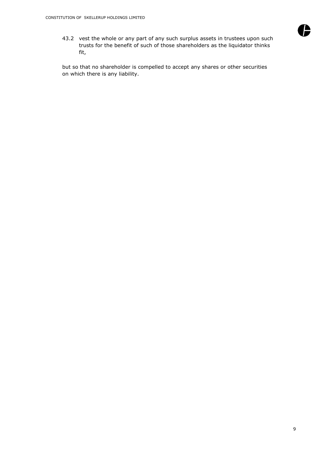

43.2 vest the whole or any part of any such surplus assets in trustees upon such trusts for the benefit of such of those shareholders as the liquidator thinks fit,

but so that no shareholder is compelled to accept any shares or other securities on which there is any liability.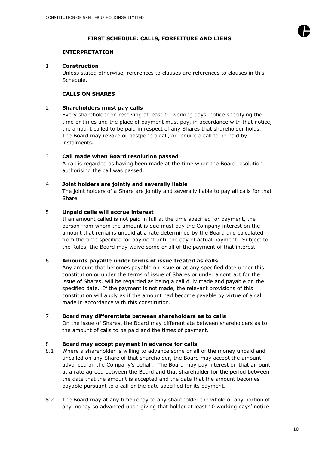

# **FIRST SCHEDULE: CALLS, FORFEITURE AND LIENS**

# **INTERPRETATION**

# 1 **Construction**

Unless stated otherwise, references to clauses are references to clauses in this Schedule.

# **CALLS ON SHARES**

# 2 **Shareholders must pay calls**

Every shareholder on receiving at least 10 working days' notice specifying the time or times and the place of payment must pay, in accordance with that notice, the amount called to be paid in respect of any Shares that shareholder holds. The Board may revoke or postpone a call, or require a call to be paid by instalments.

# 3 **Call made when Board resolution passed**

A call is regarded as having been made at the time when the Board resolution authorising the call was passed.

# 4 **Joint holders are jointly and severally liable**

The joint holders of a Share are jointly and severally liable to pay all calls for that Share.

# 5 **Unpaid calls will accrue interest**

If an amount called is not paid in full at the time specified for payment, the person from whom the amount is due must pay the Company interest on the amount that remains unpaid at a rate determined by the Board and calculated from the time specified for payment until the day of actual payment. Subject to the Rules, the Board may waive some or all of the payment of that interest.

# 6 **Amounts payable under terms of issue treated as calls**

Any amount that becomes payable on issue or at any specified date under this constitution or under the terms of issue of Shares or under a contract for the issue of Shares, will be regarded as being a call duly made and payable on the specified date. If the payment is not made, the relevant provisions of this constitution will apply as if the amount had become payable by virtue of a call made in accordance with this constitution.

# 7 **Board may differentiate between shareholders as to calls**

On the issue of Shares, the Board may differentiate between shareholders as to the amount of calls to be paid and the times of payment.

# 8 **Board may accept payment in advance for calls**

- 8.1 Where a shareholder is willing to advance some or all of the money unpaid and uncalled on any Share of that shareholder, the Board may accept the amount advanced on the Company's behalf. The Board may pay interest on that amount at a rate agreed between the Board and that shareholder for the period between the date that the amount is accepted and the date that the amount becomes payable pursuant to a call or the date specified for its payment.
- 8.2 The Board may at any time repay to any shareholder the whole or any portion of any money so advanced upon giving that holder at least 10 working days' notice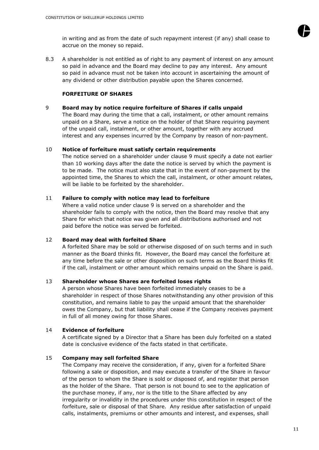

8.3 A shareholder is not entitled as of right to any payment of interest on any amount so paid in advance and the Board may decline to pay any interest. Any amount so paid in advance must not be taken into account in ascertaining the amount of any dividend or other distribution payable upon the Shares concerned.

# **FORFEITURE OF SHARES**

# 9 **Board may by notice require forfeiture of Shares if calls unpaid**

The Board may during the time that a call, instalment, or other amount remains unpaid on a Share, serve a notice on the holder of that Share requiring payment of the unpaid call, instalment, or other amount, together with any accrued interest and any expenses incurred by the Company by reason of non-payment.

# 10 **Notice of forfeiture must satisfy certain requirements**

The notice served on a shareholder under clause 9 must specify a date not earlier than 10 working days after the date the notice is served by which the payment is to be made. The notice must also state that in the event of non-payment by the appointed time, the Shares to which the call, instalment, or other amount relates, will be liable to be forfeited by the shareholder.

# 11 **Failure to comply with notice may lead to forfeiture**

Where a valid notice under clause 9 is served on a shareholder and the shareholder fails to comply with the notice, then the Board may resolve that any Share for which that notice was given and all distributions authorised and not paid before the notice was served be forfeited.

# 12 **Board may deal with forfeited Share**

A forfeited Share may be sold or otherwise disposed of on such terms and in such manner as the Board thinks fit. However, the Board may cancel the forfeiture at any time before the sale or other disposition on such terms as the Board thinks fit if the call, instalment or other amount which remains unpaid on the Share is paid.

# 13 **Shareholder whose Shares are forfeited loses rights**

A person whose Shares have been forfeited immediately ceases to be a shareholder in respect of those Shares notwithstanding any other provision of this constitution, and remains liable to pay the unpaid amount that the shareholder owes the Company, but that liability shall cease if the Company receives payment in full of all money owing for those Shares.

# 14 **Evidence of forfeiture**

A certificate signed by a Director that a Share has been duly forfeited on a stated date is conclusive evidence of the facts stated in that certificate.

# 15 **Company may sell forfeited Share**

The Company may receive the consideration, if any, given for a forfeited Share following a sale or disposition, and may execute a transfer of the Share in favour of the person to whom the Share is sold or disposed of, and register that person as the holder of the Share. That person is not bound to see to the application of the purchase money, if any, nor is the title to the Share affected by any irregularity or invalidity in the procedures under this constitution in respect of the forfeiture, sale or disposal of that Share. Any residue after satisfaction of unpaid calls, instalments, premiums or other amounts and interest, and expenses, shall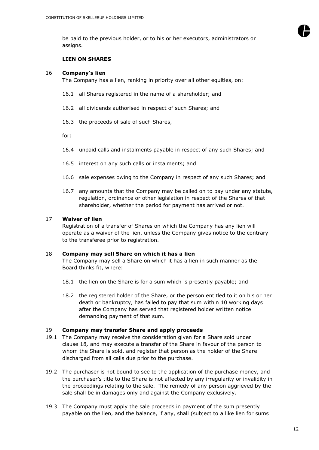be paid to the previous holder, or to his or her executors, administrators or assigns.

# **LIEN ON SHARES**

#### 16 **Company's lien**

The Company has a lien, ranking in priority over all other equities, on:

- 16.1 all Shares registered in the name of a shareholder; and
- 16.2 all dividends authorised in respect of such Shares; and
- 16.3 the proceeds of sale of such Shares,

for:

- 16.4 unpaid calls and instalments payable in respect of any such Shares; and
- 16.5 interest on any such calls or instalments; and
- 16.6 sale expenses owing to the Company in respect of any such Shares; and
- 16.7 any amounts that the Company may be called on to pay under any statute, regulation, ordinance or other legislation in respect of the Shares of that shareholder, whether the period for payment has arrived or not.

#### 17 **Waiver of lien**

Registration of a transfer of Shares on which the Company has any lien will operate as a waiver of the lien, unless the Company gives notice to the contrary to the transferee prior to registration.

#### 18 **Company may sell Share on which it has a lien**

The Company may sell a Share on which it has a lien in such manner as the Board thinks fit, where:

- 18.1 the lien on the Share is for a sum which is presently payable; and
- 18.2 the registered holder of the Share, or the person entitled to it on his or her death or bankruptcy, has failed to pay that sum within 10 working days after the Company has served that registered holder written notice demanding payment of that sum.

#### 19 **Company may transfer Share and apply proceeds**

- 19.1 The Company may receive the consideration given for a Share sold under clause 18*,* and may execute a transfer of the Share in favour of the person to whom the Share is sold, and register that person as the holder of the Share discharged from all calls due prior to the purchase.
- 19.2 The purchaser is not bound to see to the application of the purchase money, and the purchaser's title to the Share is not affected by any irregularity or invalidity in the proceedings relating to the sale. The remedy of any person aggrieved by the sale shall be in damages only and against the Company exclusively.
- 19.3 The Company must apply the sale proceeds in payment of the sum presently payable on the lien, and the balance, if any, shall (subject to a like lien for sums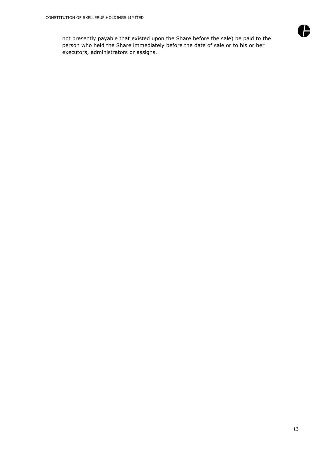not presently payable that existed upon the Share before the sale) be paid to the person who held the Share immediately before the date of sale or to his or her executors, administrators or assigns.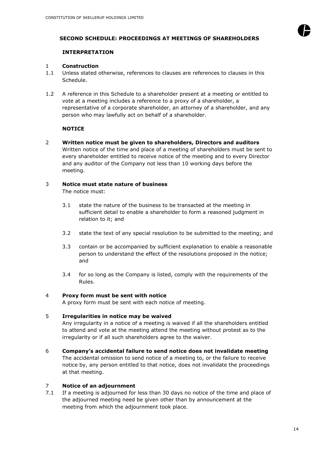

# **SECOND SCHEDULE: PROCEEDINGS AT MEETINGS OF SHAREHOLDERS**

# **INTERPRETATION**

## 1 **Construction**

- 1.1 Unless stated otherwise, references to clauses are references to clauses in this Schedule.
- 1.2 A reference in this Schedule to a shareholder present at a meeting or entitled to vote at a meeting includes a reference to a proxy of a shareholder, a representative of a corporate shareholder, an attorney of a shareholder, and any person who may lawfully act on behalf of a shareholder.

# **NOTICE**

2 **Written notice must be given to shareholders, Directors and auditors** Written notice of the time and place of a meeting of shareholders must be sent to every shareholder entitled to receive notice of the meeting and to every Director and any auditor of the Company not less than 10 working days before the meeting.

# 3 **Notice must state nature of business**

The notice must:

- 3.1 state the nature of the business to be transacted at the meeting in sufficient detail to enable a shareholder to form a reasoned judgment in relation to it; and
- 3.2 state the text of any special resolution to be submitted to the meeting; and
- 3.3 contain or be accompanied by sufficient explanation to enable a reasonable person to understand the effect of the resolutions proposed in the notice; and
- 3.4 for so long as the Company is listed, comply with the requirements of the Rules.

# 4 **Proxy form must be sent with notice**

A proxy form must be sent with each notice of meeting.

# 5 **Irregularities in notice may be waived**

Any irregularity in a notice of a meeting is waived if all the shareholders entitled to attend and vote at the meeting attend the meeting without protest as to the irregularity or if all such shareholders agree to the waiver.

6 **Company's accidental failure to send notice does not invalidate meeting** The accidental omission to send notice of a meeting to, or the failure to receive notice by, any person entitled to that notice, does not invalidate the proceedings at that meeting.

# 7 **Notice of an adjournment**

7.1 If a meeting is adjourned for less than 30 days no notice of the time and place of the adjourned meeting need be given other than by announcement at the meeting from which the adjournment took place.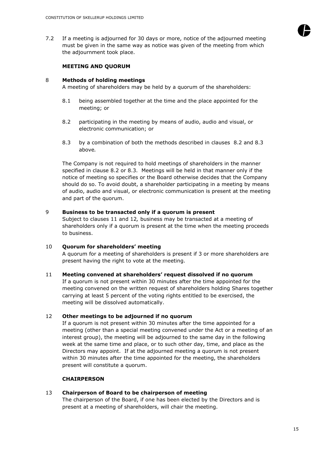7.2 If a meeting is adjourned for 30 days or more, notice of the adjourned meeting must be given in the same way as notice was given of the meeting from which the adjournment took place.

#### **MEETING AND QUORUM**

#### 8 **Methods of holding meetings**

A meeting of shareholders may be held by a quorum of the shareholders:

- 8.1 being assembled together at the time and the place appointed for the meeting; or
- <span id="page-15-0"></span>8.2 participating in the meeting by means of audio, audio and visual, or electronic communication; or
- <span id="page-15-1"></span>8.3 by a combination of both the methods described in clauses [8.2](#page-15-0) and [8.3](#page-15-1) above*.*

The Company is not required to hold meetings of shareholders in the manner specified in clause 8.2 or [8.3.](#page-15-1) Meetings will be held in that manner only if the notice of meeting so specifies or the Board otherwise decides that the Company should do so. To avoid doubt, a shareholder participating in a meeting by means of audio, audio and visual, or electronic communication is present at the meeting and part of the quorum.

#### 9 **Business to be transacted only if a quorum is present**

Subject to clauses 11 and 12*,* business may be transacted at a meeting of shareholders only if a quorum is present at the time when the meeting proceeds to business.

# 10 **Quorum for shareholders' meeting** A quorum for a meeting of shareholders is present if 3 or more shareholders are present having the right to vote at the meeting.

11 **Meeting convened at shareholders' request dissolved if no quorum** If a quorum is not present within 30 minutes after the time appointed for the meeting convened on the written request of shareholders holding Shares together carrying at least 5 percent of the voting rights entitled to be exercised, the meeting will be dissolved automatically.

# 12 **Other meetings to be adjourned if no quorum**

If a quorum is not present within 30 minutes after the time appointed for a meeting (other than a special meeting convened under the Act or a meeting of an interest group), the meeting will be adjourned to the same day in the following week at the same time and place, or to such other day, time, and place as the Directors may appoint. If at the adjourned meeting a quorum is not present within 30 minutes after the time appointed for the meeting, the shareholders present will constitute a quorum.

# **CHAIRPERSON**

# 13 **Chairperson of Board to be chairperson of meeting**

The chairperson of the Board, if one has been elected by the Directors and is present at a meeting of shareholders, will chair the meeting.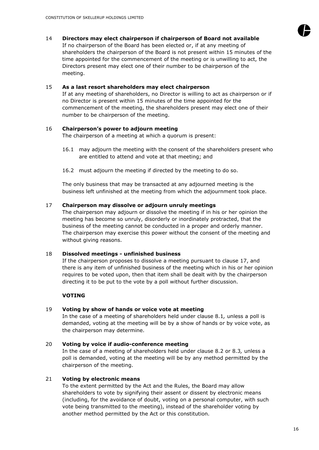# 14 **Directors may elect chairperson if chairperson of Board not available**

If no chairperson of the Board has been elected or, if at any meeting of shareholders the chairperson of the Board is not present within 15 minutes of the time appointed for the commencement of the meeting or is unwilling to act, the Directors present may elect one of their number to be chairperson of the meeting.

# 15 **As a last resort shareholders may elect chairperson**

If at any meeting of shareholders, no Director is willing to act as chairperson or if no Director is present within 15 minutes of the time appointed for the commencement of the meeting, the shareholders present may elect one of their number to be chairperson of the meeting.

# 16 **Chairperson's power to adjourn meeting**

The chairperson of a meeting at which a quorum is present:

- 16.1 may adjourn the meeting with the consent of the shareholders present who are entitled to attend and vote at that meeting; and
- 16.2 must adjourn the meeting if directed by the meeting to do so.

The only business that may be transacted at any adjourned meeting is the business left unfinished at the meeting from which the adjournment took place.

#### 17 **Chairperson may dissolve or adjourn unruly meetings**

The chairperson may adjourn or dissolve the meeting if in his or her opinion the meeting has become so unruly, disorderly or inordinately protracted, that the business of the meeting cannot be conducted in a proper and orderly manner. The chairperson may exercise this power without the consent of the meeting and without giving reasons.

#### 18 **Dissolved meetings - unfinished business**

If the chairperson proposes to dissolve a meeting pursuant to clause 17, and there is any item of unfinished business of the meeting which in his or her opinion requires to be voted upon, then that item shall be dealt with by the chairperson directing it to be put to the vote by a poll without further discussion.

# **VOTING**

# 19 **Voting by show of hands or voice vote at meeting**

In the case of a meeting of shareholders held under clause 8.1*,* unless a poll is demanded, voting at the meeting will be by a show of hands or by voice vote, as the chairperson may determine.

# 20 **Voting by voice if audio-conference meeting**

In the case of a meeting of shareholders held under clause 8.2 or 8.3*,* unless a poll is demanded, voting at the meeting will be by any method permitted by the chairperson of the meeting.

# 21 **Voting by electronic means**

To the extent permitted by the Act and the Rules, the Board may allow shareholders to vote by signifying their assent or dissent by electronic means (including, for the avoidance of doubt, voting on a personal computer, with such vote being transmitted to the meeting), instead of the shareholder voting by another method permitted by the Act or this constitution.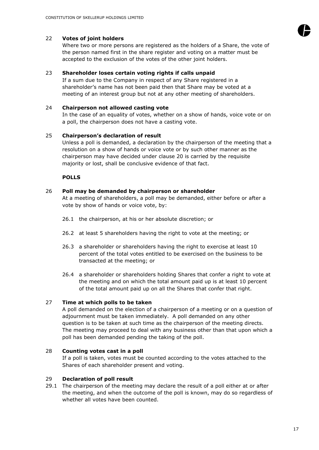# 22 **Votes of joint holders**

Where two or more persons are registered as the holders of a Share, the vote of the person named first in the share register and voting on a matter must be accepted to the exclusion of the votes of the other joint holders.

# 23 **Shareholder loses certain voting rights if calls unpaid**

If a sum due to the Company in respect of any Share registered in a shareholder's name has not been paid then that Share may be voted at a meeting of an interest group but not at any other meeting of shareholders.

#### 24 **Chairperson not allowed casting vote**

In the case of an equality of votes, whether on a show of hands, voice vote or on a poll, the chairperson does not have a casting vote.

#### 25 **Chairperson's declaration of result**

Unless a poll is demanded, a declaration by the chairperson of the meeting that a resolution on a show of hands or voice vote or by such other manner as the chairperson may have decided under clause 20 is carried by the requisite majority or lost, shall be conclusive evidence of that fact.

#### **POLLS**

# 26 **Poll may be demanded by chairperson or shareholder**

At a meeting of shareholders, a poll may be demanded, either before or after a vote by show of hands or voice vote, by:

- 26.1 the chairperson, at his or her absolute discretion; or
- 26.2 at least 5 shareholders having the right to vote at the meeting; or
- 26.3 a shareholder or shareholders having the right to exercise at least 10 percent of the total votes entitled to be exercised on the business to be transacted at the meeting; or
- 26.4 a shareholder or shareholders holding Shares that confer a right to vote at the meeting and on which the total amount paid up is at least 10 percent of the total amount paid up on all the Shares that confer that right.

# 27 **Time at which polls to be taken**

A poll demanded on the election of a chairperson of a meeting or on a question of adjournment must be taken immediately. A poll demanded on any other question is to be taken at such time as the chairperson of the meeting directs. The meeting may proceed to deal with any business other than that upon which a poll has been demanded pending the taking of the poll.

#### 28 **Counting votes cast in a poll**

If a poll is taken, votes must be counted according to the votes attached to the Shares of each shareholder present and voting.

# 29 **Declaration of poll result**

29.1 The chairperson of the meeting may declare the result of a poll either at or after the meeting, and when the outcome of the poll is known, may do so regardless of whether all votes have been counted.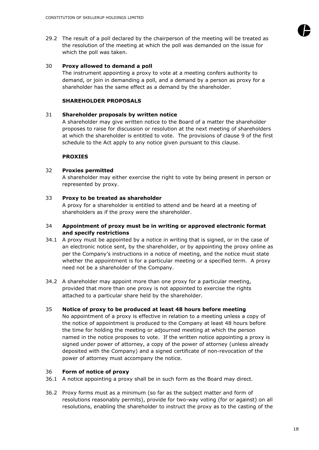29.2 The result of a poll declared by the chairperson of the meeting will be treated as the resolution of the meeting at which the poll was demanded on the issue for which the poll was taken.

#### 30 **Proxy allowed to demand a poll**

The instrument appointing a proxy to vote at a meeting confers authority to demand, or join in demanding a poll, and a demand by a person as proxy for a shareholder has the same effect as a demand by the shareholder.

# **SHAREHOLDER PROPOSALS**

## 31 **Shareholder proposals by written notice**

A shareholder may give written notice to the Board of a matter the shareholder proposes to raise for discussion or resolution at the next meeting of shareholders at which the shareholder is entitled to vote. The provisions of clause 9 of the first schedule to the Act apply to any notice given pursuant to this clause.

#### **PROXIES**

#### 32 **Proxies permitted**

A shareholder may either exercise the right to vote by being present in person or represented by proxy.

#### 33 **Proxy to be treated as shareholder**

A proxy for a shareholder is entitled to attend and be heard at a meeting of shareholders as if the proxy were the shareholder.

## 34 **Appointment of proxy must be in writing or approved electronic format and specify restrictions**

- 34.1 A proxy must be appointed by a notice in writing that is signed, or in the case of an electronic notice sent, by the shareholder, or by appointing the proxy online as per the Company's instructions in a notice of meeting, and the notice must state whether the appointment is for a particular meeting or a specified term. A proxy need not be a shareholder of the Company.
- 34.2 A shareholder may appoint more than one proxy for a particular meeting, provided that more than one proxy is not appointed to exercise the rights attached to a particular share held by the shareholder.

# 35 **Notice of proxy to be produced at least 48 hours before meeting**

No appointment of a proxy is effective in relation to a meeting unless a copy of the notice of appointment is produced to the Company at least 48 hours before the time for holding the meeting or adjourned meeting at which the person named in the notice proposes to vote. If the written notice appointing a proxy is signed under power of attorney, a copy of the power of attorney (unless already deposited with the Company) and a signed certificate of non-revocation of the power of attorney must accompany the notice.

# 36 **Form of notice of proxy**

36.1 A notice appointing a proxy shall be in such form as the Board may direct.

36.2 Proxy forms must as a minimum (so far as the subject matter and form of resolutions reasonably permits), provide for two-way voting (for or against) on all resolutions, enabling the shareholder to instruct the proxy as to the casting of the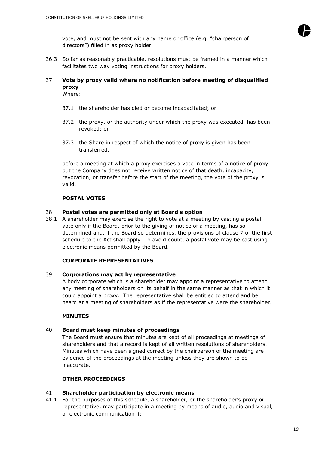

vote, and must not be sent with any name or office (e.g. "chairperson of directors") filled in as proxy holder.

36.3 So far as reasonably practicable, resolutions must be framed in a manner which facilitates two way voting instructions for proxy holders.

# 37 **Vote by proxy valid where no notification before meeting of disqualified proxy**

Where:

- 37.1 the shareholder has died or become incapacitated; or
- 37.2 the proxy, or the authority under which the proxy was executed, has been revoked; or
- 37.3 the Share in respect of which the notice of proxy is given has been transferred,

before a meeting at which a proxy exercises a vote in terms of a notice of proxy but the Company does not receive written notice of that death, incapacity, revocation, or transfer before the start of the meeting, the vote of the proxy is valid.

# **POSTAL VOTES**

# 38 **Postal votes are permitted only at Board's option**

38.1 A shareholder may exercise the right to vote at a meeting by casting a postal vote only if the Board, prior to the giving of notice of a meeting, has so determined and, if the Board so determines, the provisions of clause 7 of the first schedule to the Act shall apply. To avoid doubt, a postal vote may be cast using electronic means permitted by the Board.

# **CORPORATE REPRESENTATIVES**

# 39 **Corporations may act by representative**

A body corporate which is a shareholder may appoint a representative to attend any meeting of shareholders on its behalf in the same manner as that in which it could appoint a proxy. The representative shall be entitled to attend and be heard at a meeting of shareholders as if the representative were the shareholder.

#### **MINUTES**

# 40 **Board must keep minutes of proceedings**

The Board must ensure that minutes are kept of all proceedings at meetings of shareholders and that a record is kept of all written resolutions of shareholders. Minutes which have been signed correct by the chairperson of the meeting are evidence of the proceedings at the meeting unless they are shown to be inaccurate.

# **OTHER PROCEEDINGS**

# 41 **Shareholder participation by electronic means**

41.1 For the purposes of this schedule, a shareholder, or the shareholder's proxy or representative, may participate in a meeting by means of audio, audio and visual, or electronic communication if: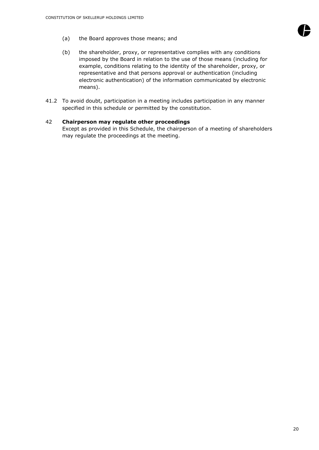

- (a) the Board approves those means; and
- (b) the shareholder, proxy, or representative complies with any conditions imposed by the Board in relation to the use of those means (including for example, conditions relating to the identity of the shareholder, proxy, or representative and that persons approval or authentication (including electronic authentication) of the information communicated by electronic means).
- 41.2 To avoid doubt, participation in a meeting includes participation in any manner specified in this schedule or permitted by the constitution.

# 42 **Chairperson may regulate other proceedings**

Except as provided in this Schedule, the chairperson of a meeting of shareholders may regulate the proceedings at the meeting.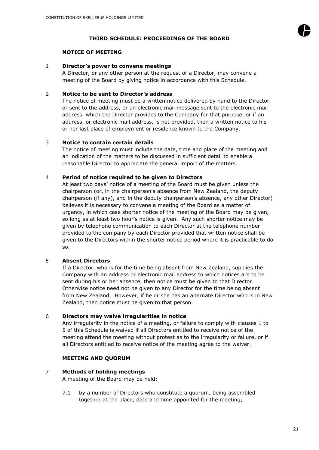

# **THIRD SCHEDULE: PROCEEDINGS OF THE BOARD**

# **NOTICE OF MEETING**

## 1 **Director's power to convene meetings**

A Director, or any other person at the request of a Director, may convene a meeting of the Board by giving notice in accordance with this Schedule.

# 2 **Notice to be sent to Director's address**

The notice of meeting must be a written notice delivered by hand to the Director, or sent to the address, or an electronic mail message sent to the electronic mail address, which the Director provides to the Company for that purpose, or if an address, or electronic mail address, is not provided, then a written notice to his or her last place of employment or residence known to the Company.

# 3 **Notice to contain certain details**

The notice of meeting must include the date, time and place of the meeting and an indication of the matters to be discussed in sufficient detail to enable a reasonable Director to appreciate the general import of the matters.

# 4 **Period of notice required to be given to Directors**

At least two days' notice of a meeting of the Board must be given unless the chairperson (or, in the chairperson's absence from New Zealand, the deputy chairperson (if any), and in the deputy chairperson's absence, any other Director) believes it is necessary to convene a meeting of the Board as a matter of urgency, in which case shorter notice of the meeting of the Board may be given, so long as at least two hour's notice is given. Any such shorter notice may be given by telephone communication to each Director at the telephone number provided to the company by each Director provided that written notice shall be given to the Directors within the shorter notice period where it is practicable to do so.

# 5 **Absent Directors**

If a Director, who is for the time being absent from New Zealand, supplies the Company with an address or electronic mail address to which notices are to be sent during his or her absence, then notice must be given to that Director. Otherwise notice need not be given to any Director for the time being absent from New Zealand. However, if he or she has an alternate Director who is in New Zealand, then notice must be given to that person.

# 6 **Directors may waive irregularities in notice**

Any irregularity in the notice of a meeting, or failure to comply with clauses 1 to 5 of this Schedule is waived if all Directors entitled to receive notice of the meeting attend the meeting without protest as to the irregularity or failure, or if all Directors entitled to receive notice of the meeting agree to the waiver.

# **MEETING AND QUORUM**

# 7 **Methods of holding meetings**

A meeting of the Board may be held:

<span id="page-21-0"></span>7.1 by a number of Directors who constitute a quorum, being assembled together at the place, date and time appointed for the meeting;